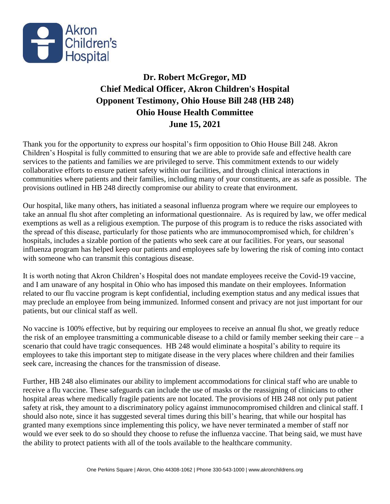

## **Dr. Robert McGregor, MD Chief Medical Officer, Akron Children's Hospital Opponent Testimony, Ohio House Bill 248 (HB 248) Ohio House Health Committee June 15, 2021**

Thank you for the opportunity to express our hospital's firm opposition to Ohio House Bill 248. Akron Children's Hospital is fully committed to ensuring that we are able to provide safe and effective health care services to the patients and families we are privileged to serve. This commitment extends to our widely collaborative efforts to ensure patient safety within our facilities, and through clinical interactions in communities where patients and their families, including many of your constituents, are as safe as possible. The provisions outlined in HB 248 directly compromise our ability to create that environment.

Our hospital, like many others, has initiated a seasonal influenza program where we require our employees to take an annual flu shot after completing an informational questionnaire. As is required by law, we offer medical exemptions as well as a religious exemption. The purpose of this program is to reduce the risks associated with the spread of this disease, particularly for those patients who are immunocompromised which, for children's hospitals, includes a sizable portion of the patients who seek care at our facilities. For years, our seasonal influenza program has helped keep our patients and employees safe by lowering the risk of coming into contact with someone who can transmit this contagious disease.

It is worth noting that Akron Children's Hospital does not mandate employees receive the Covid-19 vaccine, and I am unaware of any hospital in Ohio who has imposed this mandate on their employees. Information related to our flu vaccine program is kept confidential, including exemption status and any medical issues that may preclude an employee from being immunized. Informed consent and privacy are not just important for our patients, but our clinical staff as well.

No vaccine is 100% effective, but by requiring our employees to receive an annual flu shot, we greatly reduce the risk of an employee transmitting a communicable disease to a child or family member seeking their care – a scenario that could have tragic consequences. HB 248 would eliminate a hospital's ability to require its employees to take this important step to mitigate disease in the very places where children and their families seek care, increasing the chances for the transmission of disease.

Further, HB 248 also eliminates our ability to implement accommodations for clinical staff who are unable to receive a flu vaccine. These safeguards can include the use of masks or the reassigning of clinicians to other hospital areas where medically fragile patients are not located. The provisions of HB 248 not only put patient safety at risk, they amount to a discriminatory policy against immunocompromised children and clinical staff. I should also note, since it has suggested several times during this bill's hearing, that while our hospital has granted many exemptions since implementing this policy, we have never terminated a member of staff nor would we ever seek to do so should they choose to refuse the influenza vaccine. That being said, we must have the ability to protect patients with all of the tools available to the healthcare community.